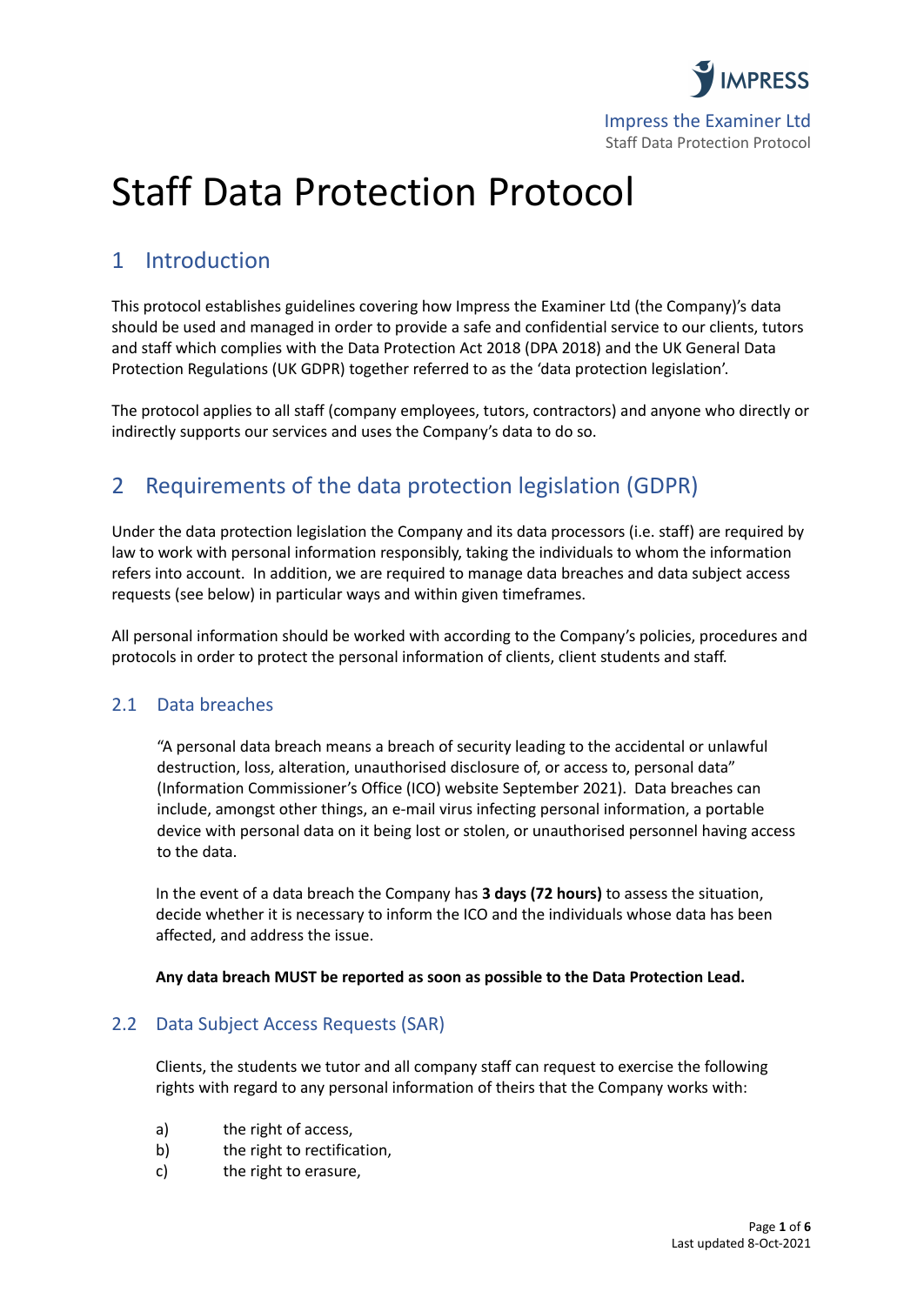

# Staff Data Protection Protocol

### 1 Introduction

This protocol establishes guidelines covering how Impress the Examiner Ltd (the Company)'s data should be used and managed in order to provide a safe and confidential service to our clients, tutors and staff which complies with the Data Protection Act 2018 (DPA 2018) and the UK General Data Protection Regulations (UK GDPR) together referred to as the 'data protection legislation'.

The protocol applies to all staff (company employees, tutors, contractors) and anyone who directly or indirectly supports our services and uses the Company's data to do so.

### 2 Requirements of the data protection legislation (GDPR)

Under the data protection legislation the Company and its data processors (i.e. staff) are required by law to work with personal information responsibly, taking the individuals to whom the information refers into account. In addition, we are required to manage data breaches and data subject access requests (see below) in particular ways and within given timeframes.

All personal information should be worked with according to the Company's policies, procedures and protocols in order to protect the personal information of clients, client students and staff.

### 2.1 Data breaches

"A personal data breach means a breach of security leading to the accidental or unlawful destruction, loss, alteration, unauthorised disclosure of, or access to, personal data" (Information Commissioner's Office (ICO) website September 2021). Data breaches can include, amongst other things, an e-mail virus infecting personal information, a portable device with personal data on it being lost or stolen, or unauthorised personnel having access to the data.

In the event of a data breach the Company has **3 days (72 hours)** to assess the situation, decide whether it is necessary to inform the ICO and the individuals whose data has been affected, and address the issue.

#### **Any data breach MUST be reported as soon as possible to the Data Protection Lead.**

### 2.2 Data Subject Access Requests (SAR)

Clients, the students we tutor and all company staff can request to exercise the following rights with regard to any personal information of theirs that the Company works with:

- a) the right of access,
- b) the right to rectification,
- c) the right to erasure,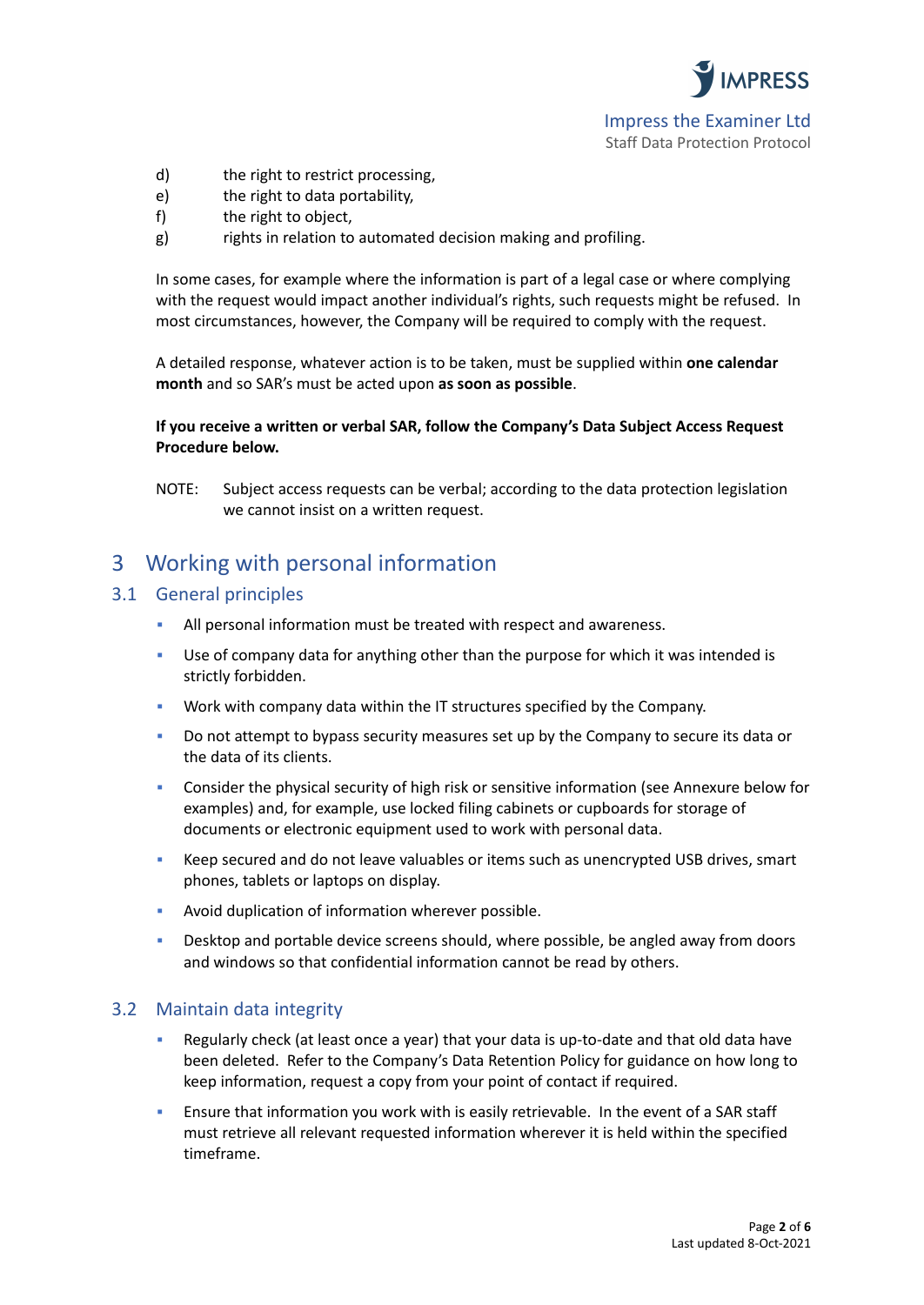**IMPRESS** Impress the Examiner Ltd

Staff Data Protection Protocol

- d) the right to restrict processing,
- e) the right to data portability,
- f) the right to object,
- g) rights in relation to automated decision making and profiling.

In some cases, for example where the information is part of a legal case or where complying with the request would impact another individual's rights, such requests might be refused. In most circumstances, however, the Company will be required to comply with the request.

A detailed response, whatever action is to be taken, must be supplied within **one calendar month** and so SAR's must be acted upon **as soon as possible**.

#### **If you receive a written or verbal SAR, follow the Company's Data Subject Access Request Procedure below.**

NOTE: Subject access requests can be verbal; according to the data protection legislation we cannot insist on a written request.

### 3 Working with personal information

#### 3.1 General principles

- All personal information must be treated with respect and awareness.
- Use of company data for anything other than the purpose for which it was intended is strictly forbidden.
- Work with company data within the IT structures specified by the Company.
- Do not attempt to bypass security measures set up by the Company to secure its data or the data of its clients.
- Consider the physical security of high risk or sensitive information (see Annexure below for examples) and, for example, use locked filing cabinets or cupboards for storage of documents or electronic equipment used to work with personal data.
- Keep secured and do not leave valuables or items such as unencrypted USB drives, smart phones, tablets or laptops on display.
- Avoid duplication of information wherever possible.
- **•** Desktop and portable device screens should, where possible, be angled away from doors and windows so that confidential information cannot be read by others.

#### 3.2 Maintain data integrity

- Regularly check (at least once a year) that your data is up-to-date and that old data have been deleted. Refer to the Company's Data Retention Policy for guidance on how long to keep information, request a copy from your point of contact if required.
- Ensure that information you work with is easily retrievable. In the event of a SAR staff must retrieve all relevant requested information wherever it is held within the specified timeframe.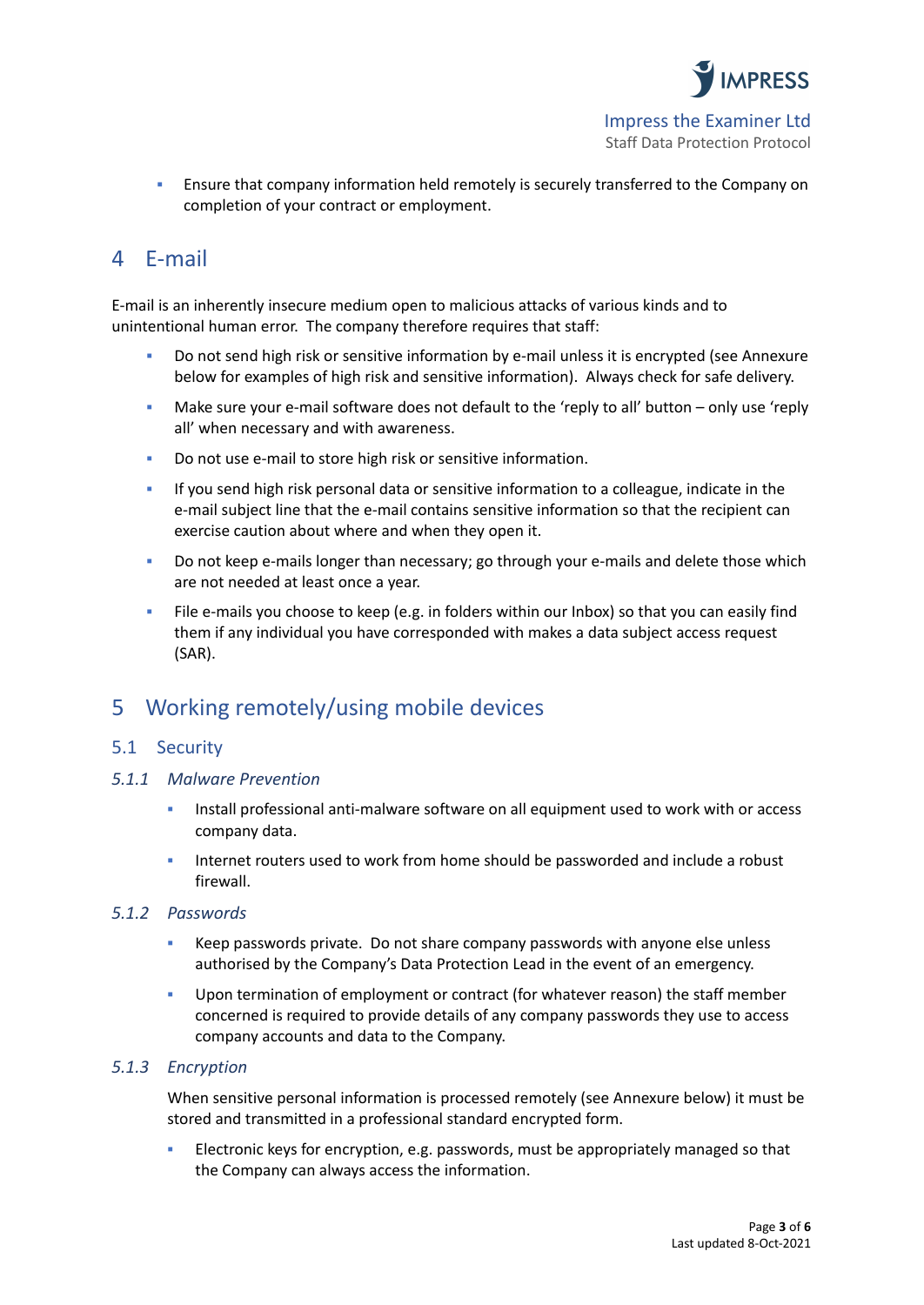

**E** Ensure that company information held remotely is securely transferred to the Company on completion of your contract or employment.

### 4 E-mail

E-mail is an inherently insecure medium open to malicious attacks of various kinds and to unintentional human error. The company therefore requires that staff:

- Do not send high risk or sensitive information by e-mail unless it is encrypted (see Annexure below for examples of high risk and sensitive information). Always check for safe delivery.
- Make sure your e-mail software does not default to the 'reply to all' button only use 'reply all' when necessary and with awareness.
- Do not use e-mail to store high risk or sensitive information.
- If you send high risk personal data or sensitive information to a colleague, indicate in the e-mail subject line that the e-mail contains sensitive information so that the recipient can exercise caution about where and when they open it.
- Do not keep e-mails longer than necessary; go through your e-mails and delete those which are not needed at least once a year.
- File e-mails you choose to keep (e.g. in folders within our Inbox) so that you can easily find them if any individual you have corresponded with makes a data subject access request (SAR).

### 5 Working remotely/using mobile devices

### 5.1 Security

#### *5.1.1 Malware Prevention*

- Install professional anti-malware software on all equipment used to work with or access company data.
- Internet routers used to work from home should be passworded and include a robust firewall.

#### *5.1.2 Passwords*

- Keep passwords private. Do not share company passwords with anyone else unless authorised by the Company's Data Protection Lead in the event of an emergency.
- Upon termination of employment or contract (for whatever reason) the staff member concerned is required to provide details of any company passwords they use to access company accounts and data to the Company.

#### *5.1.3 Encryption*

When sensitive personal information is processed remotely (see Annexure below) it must be stored and transmitted in a professional standard encrypted form.

**Electronic keys for encryption, e.g. passwords, must be appropriately managed so that** the Company can always access the information.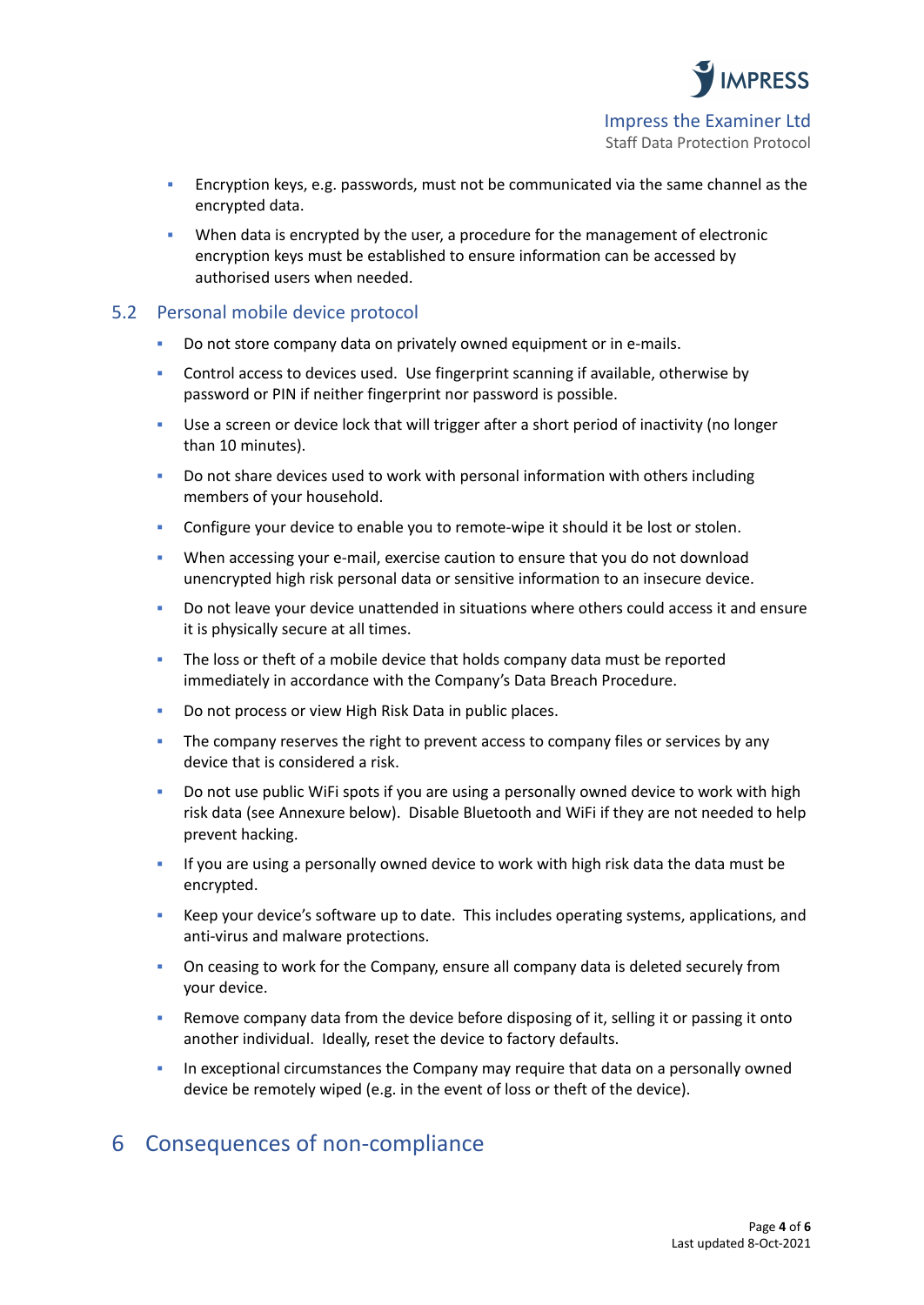

- **Encryption keys, e.g. passwords, must not be communicated via the same channel as the** encrypted data.
- When data is encrypted by the user, a procedure for the management of electronic encryption keys must be established to ensure information can be accessed by authorised users when needed.

#### 5.2 Personal mobile device protocol

- Do not store company data on privately owned equipment or in e-mails.
- Control access to devices used. Use fingerprint scanning if available, otherwise by password or PIN if neither fingerprint nor password is possible.
- Use a screen or device lock that will trigger after a short period of inactivity (no longer than 10 minutes).
- Do not share devices used to work with personal information with others including members of your household.
- **•** Configure your device to enable you to remote-wipe it should it be lost or stolen.
- When accessing your e-mail, exercise caution to ensure that you do not download unencrypted high risk personal data or sensitive information to an insecure device.
- Do not leave your device unattended in situations where others could access it and ensure it is physically secure at all times.
- The loss or theft of a mobile device that holds company data must be reported immediately in accordance with the Company's Data Breach Procedure.
- Do not process or view High Risk Data in public places.
- **The company reserves the right to prevent access to company files or services by any** device that is considered a risk.
- Do not use public WiFi spots if you are using a personally owned device to work with high risk data (see Annexure below). Disable Bluetooth and WiFi if they are not needed to help prevent hacking.
- If you are using a personally owned device to work with high risk data the data must be encrypted.
- Keep your device's software up to date. This includes operating systems, applications, and anti-virus and malware protections.
- **On ceasing to work for the Company, ensure all company data is deleted securely from** your device.
- Remove company data from the device before disposing of it, selling it or passing it onto another individual. Ideally, reset the device to factory defaults.
- In exceptional circumstances the Company may require that data on a personally owned device be remotely wiped (e.g. in the event of loss or theft of the device).

### 6 Consequences of non-compliance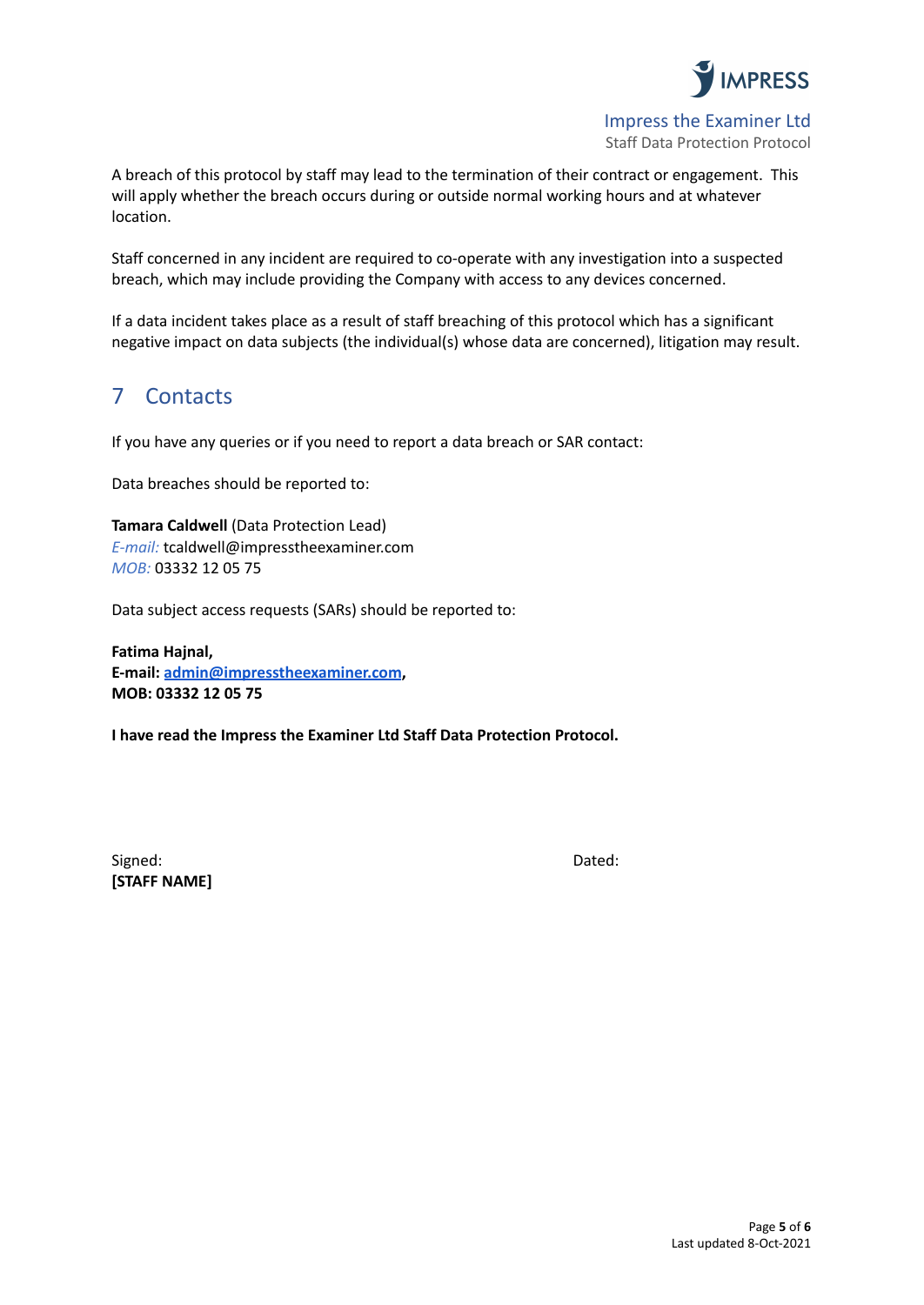

Impress the Examiner Ltd Staff Data Protection Protocol

A breach of this protocol by staff may lead to the termination of their contract or engagement. This will apply whether the breach occurs during or outside normal working hours and at whatever location.

Staff concerned in any incident are required to co-operate with any investigation into a suspected breach, which may include providing the Company with access to any devices concerned.

If a data incident takes place as a result of staff breaching of this protocol which has a significant negative impact on data subjects (the individual(s) whose data are concerned), litigation may result.

### 7 Contacts

If you have any queries or if you need to report a data breach or SAR contact:

Data breaches should be reported to:

**Tamara Caldwell** (Data Protection Lead) *E-mail:* tcaldwell@impresstheexaminer.com *MOB:* 03332 12 05 75

Data subject access requests (SARs) should be reported to:

**Fatima Hajnal, E-mail: [admin@impresstheexaminer.com](mailto:admin@impresstheexaminer.com), MOB: 03332 12 05 75**

**I have read the Impress the Examiner Ltd Staff Data Protection Protocol.**

Signed: **Dated: Contract Contract Contract Contract Contract Contract Contract Contract Contract Contract Contract Contract Contract Contract Contract Contract Contract Contract Contract Contract Contract Contract Contra [STAFF NAME]**